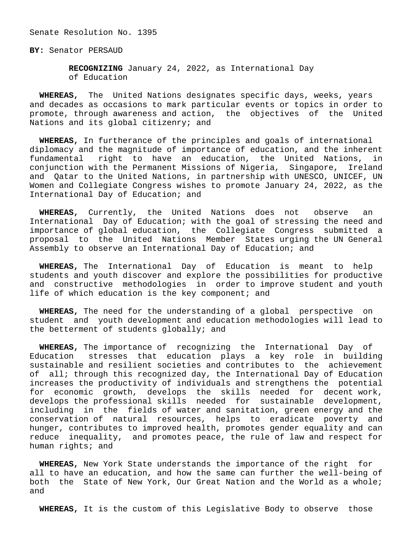Senate Resolution No. 1395

**BY:** Senator PERSAUD

 **RECOGNIZING** January 24, 2022, as International Day of Education

 **WHEREAS,** The United Nations designates specific days, weeks, years and decades as occasions to mark particular events or topics in order to promote, through awareness and action, the objectives of the United Nations and its global citizenry; and

 **WHEREAS,** In furtherance of the principles and goals of international diplomacy and the magnitude of importance of education, and the inherent fundamental right to have an education, the United Nations, in conjunction with the Permanent Missions of Nigeria, Singapore, Ireland and Qatar to the United Nations, in partnership with UNESCO, UNICEF, UN Women and Collegiate Congress wishes to promote January 24, 2022, as the International Day of Education; and

 **WHEREAS,** Currently, the United Nations does not observe an International Day of Education; with the goal of stressing the need and importance of global education, the Collegiate Congress submitted a proposal to the United Nations Member States urging the UN General Assembly to observe an International Day of Education; and

 **WHEREAS,** The International Day of Education is meant to help students and youth discover and explore the possibilities for productive and constructive methodologies in order to improve student and youth life of which education is the key component; and

 **WHEREAS,** The need for the understanding of a global perspective on student and youth development and education methodologies will lead to the betterment of students globally; and

 **WHEREAS,** The importance of recognizing the International Day of Education stresses that education plays a key role in building sustainable and resilient societies and contributes to the achievement of all; through this recognized day, the International Day of Education increases the productivity of individuals and strengthens the potential for economic growth, develops the skills needed for decent work, develops the professional skills needed for sustainable development, including in the fields of water and sanitation, green energy and the conservation of natural resources, helps to eradicate poverty and hunger, contributes to improved health, promotes gender equality and can reduce inequality, and promotes peace, the rule of law and respect for human rights; and

 **WHEREAS,** New York State understands the importance of the right for all to have an education, and how the same can further the well-being of both the State of New York, Our Great Nation and the World as a whole; and

**WHEREAS,** It is the custom of this Legislative Body to observe those